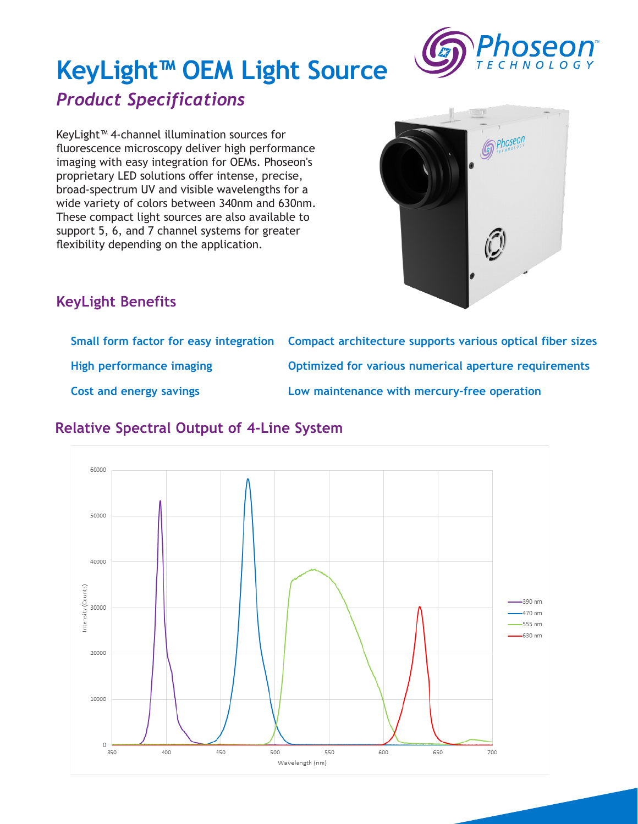

# **KeyLight™ OEM Light Source** *Product Specifications*

KeyLight™ 4-channel illumination sources for fluorescence microscopy deliver high performance imaging with easy integration for OEMs. Phoseon's proprietary LED solutions offer intense, precise, broad-spectrum UV and visible wavelengths for a wide variety of colors between 340nm and 630nm. These compact light sources are also available to support 5, 6, and 7 channel systems for greater flexibility depending on the application.



## **KeyLight Benefits**

|                                | Small form factor for easy integration Compact architecture supports various optical fiber sizes |
|--------------------------------|--------------------------------------------------------------------------------------------------|
| High performance imaging       | Optimized for various numerical aperture requirements                                            |
| <b>Cost and energy savings</b> | Low maintenance with mercury-free operation                                                      |

### **Relative Spectral Output of 4-Line System**